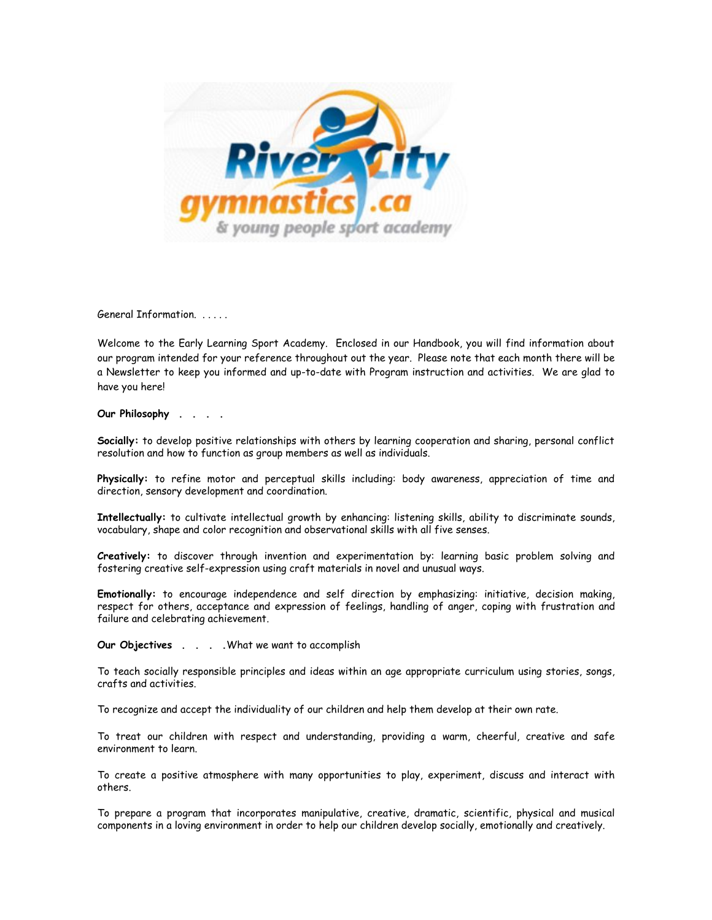

General Information. . . . . .

Welcome to the Early Learning Sport Academy. Enclosed in our Handbook, you will find information about our program intended for your reference throughout out the year. Please note that each month there will be a Newsletter to keep you informed and up-to-date with Program instruction and activities. We are glad to have you here!

**Our Philosophy . . . .**

**Socially:** to develop positive relationships with others by learning cooperation and sharing, personal conflict resolution and how to function as group members as well as individuals.

**Physically:** to refine motor and perceptual skills including: body awareness, appreciation of time and direction, sensory development and coordination.

**Intellectually:** to cultivate intellectual growth by enhancing: listening skills, ability to discriminate sounds, vocabulary, shape and color recognition and observational skills with all five senses.

**Creatively:** to discover through invention and experimentation by: learning basic problem solving and fostering creative self-expression using craft materials in novel and unusual ways.

**Emotionally:** to encourage independence and self direction by emphasizing: initiative, decision making, respect for others, acceptance and expression of feelings, handling of anger, coping with frustration and failure and celebrating achievement.

**Our Objectives . . . .**What we want to accomplish

To teach socially responsible principles and ideas within an age appropriate curriculum using stories, songs, crafts and activities.

To recognize and accept the individuality of our children and help them develop at their own rate.

To treat our children with respect and understanding, providing a warm, cheerful, creative and safe environment to learn.

To create a positive atmosphere with many opportunities to play, experiment, discuss and interact with others.

To prepare a program that incorporates manipulative, creative, dramatic, scientific, physical and musical components in a loving environment in order to help our children develop socially, emotionally and creatively.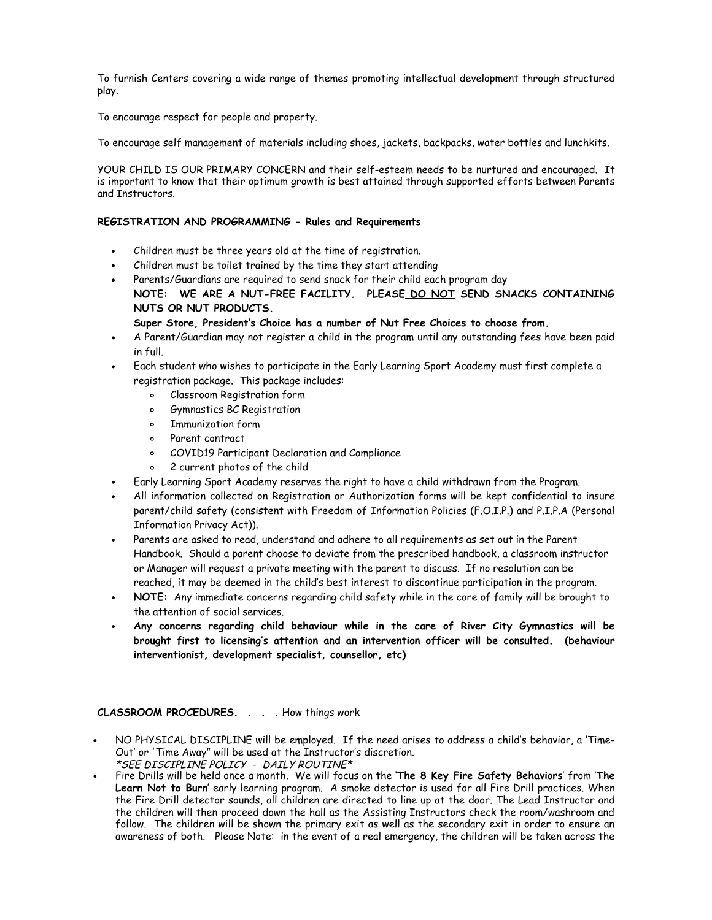To furnish Centers covering a wide range of themes promoting intellectual development through structured play.

To encourage respect for people and property.

To encourage self management of materials including shoes, jackets, backpacks, water bottles and lunchkits.

YOUR CHILD IS OUR PRIMARY CONCERN and their self-esteem needs to be nurtured and encouraged. It is important to know that their optimum growth is best attained through supported efforts between Parents and Instructors.

# **REGISTRATION AND PROGRAMMING - Rules and Requirements**

- Children must be three years old at the time of registration.
- Children must be toilet trained by the time they start attending
- Parents/Guardians are required to send snack for their child each program day **NOTE: WE ARE A NUT-FREE FACILITY. PLEASE DO NOT SEND SNACKS CONTAINING NUTS OR NUT PRODUCTS.**

**Super Store, President's Choice has a number of Nut Free Choices to choose from.**

- A Parent/Guardian may not register a child in the program until any outstanding fees have been paid in full.
- Each student who wishes to participate in the Early Learning Sport Academy must first complete a registration package. This package includes:
	- Classroom Registration form  $\circ$
	- Gymnastics BC Registration  $\circ$
	- Immunization form
	- Parent contract
	- COVID19 Participant Declaration and Compliance
	- 2 current photos of the child  $\circ$
- Early Learning Sport Academy reserves the right to have a child withdrawn from the Program.
- All information collected on Registration or Authorization forms will be kept confidential to insure parent/child safety (consistent with Freedom of Information Policies (F.O.I.P.) and P.I.P.A (Personal Information Privacy Act)).
- Parents are asked to read, understand and adhere to all requirements as set out in the Parent Handbook. Should a parent choose to deviate from the prescribed handbook, a classroom instructor or Manager will request a private meeting with the parent to discuss. If no resolution can be reached, it may be deemed in the child's best interest to discontinue participation in the program.
- **NOTE:** Any immediate concerns regarding child safety while in the care of family will be brought to the attention of social services.
- **Any concerns regarding child behaviour while in the care of River City Gymnastics will be brought first to licensing's attention and an intervention officer will be consulted. (behaviour interventionist, development specialist, counsellor, etc)**

**CLASSROOM PROCEDURES. . . .** How things work

- NO PHYSICAL DISCIPLINE will be employed. If the need arises to address a child's behavior, a 'Time-Out' or 'Time Away" will be used at the Instructor's discretion. \*SEE DISCIPLINE POLICY - DAILY ROUTINE\*
- Fire Drills will be held once a month. We will focus on the '**The 8 Key Fire Safety Behaviors**' from '**The Learn Not to Burn**' early learning program. A smoke detector is used for all Fire Drill practices. When the Fire Drill detector sounds, all children are directed to line up at the door. The Lead Instructor and the children will then proceed down the hall as the Assisting Instructors check the room/washroom and follow. The children will be shown the primary exit as well as the secondary exit in order to ensure an awareness of both. Please Note: in the event of a real emergency, the children will be taken across the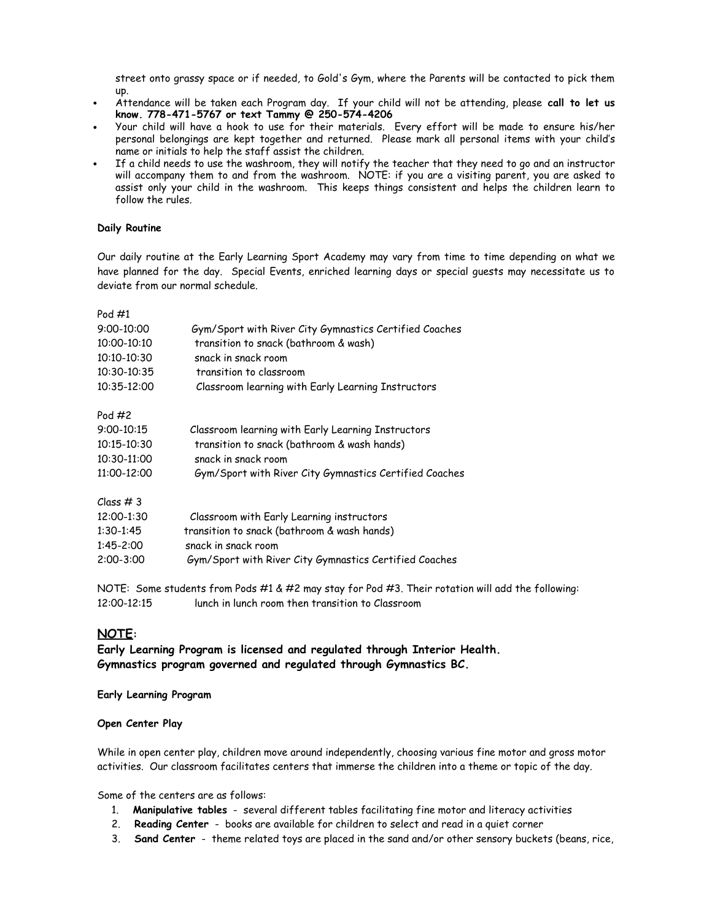street onto grassy space or if needed, to Gold's Gym, where the Parents will be contacted to pick them up.

- Attendance will be taken each Program day. If your child will not be attending, please **call to let us know. 778-471-5767 or text Tammy @ 250-574-4206**
- Your child will have a hook to use for their materials. Every effort will be made to ensure his/her personal belongings are kept together and returned. Please mark all personal items with your child's name or initials to help the staff assist the children.
- If a child needs to use the washroom, they will notify the teacher that they need to go and an instructor will accompany them to and from the washroom. NOTE: if you are a visiting parent, you are asked to assist only your child in the washroom. This keeps things consistent and helps the children learn to follow the rules.

## **Daily Routine**

Our daily routine at the Early Learning Sport Academy may vary from time to time depending on what we have planned for the day. Special Events, enriched learning days or special guests may necessitate us to deviate from our normal schedule.

| Pod #1      |                                                        |
|-------------|--------------------------------------------------------|
| 9:00-10:00  | Gym/Sport with River City Gymnastics Certified Coaches |
| 10:00-10:10 | transition to snack (bathroom & wash)                  |
| 10:10-10:30 | snack in snack room                                    |
| 10:30-10:35 | transition to classroom                                |
| 10:35-12:00 | Classroom learning with Early Learning Instructors     |
| Pod #2      |                                                        |
| 9:00-10:15  | Classroom learning with Early Learning Instructors     |
| 10:15-10:30 | transition to snack (bathroom & wash hands)            |
| 10:30-11:00 | snack in snack room                                    |
| 11:00-12:00 | Gym/Sport with River City Gymnastics Certified Coaches |
| Class # 3   |                                                        |
| 12:00-1:30  | Classroom with Early Learning instructors              |
| 1:30-1:45   | transition to snack (bathroom & wash hands)            |
| 1:45-2:00   | snack in snack room                                    |
| 2:00-3:00   | Gym/Sport with River City Gymnastics Certified Coaches |

NOTE: Some students from Pods #1 & #2 may stay for Pod #3. Their rotation will add the following: 12:00-12:15 lunch in lunch room then transition to Classroom

# **NOTE:**

**Early Learning Program is licensed and regulated through Interior Health. Gymnastics program governed and regulated through Gymnastics BC.**

#### **Early Learning Program**

## **Open Center Play**

While in open center play, children move around independently, choosing various fine motor and gross motor activities. Our classroom facilitates centers that immerse the children into a theme or topic of the day.

Some of the centers are as follows:

- 1. **Manipulative tables** several different tables facilitating fine motor and literacy activities
- 2. **Reading Center** books are available for children to select and read in a quiet corner
- 3. **Sand Center** theme related toys are placed in the sand and/or other sensory buckets (beans, rice,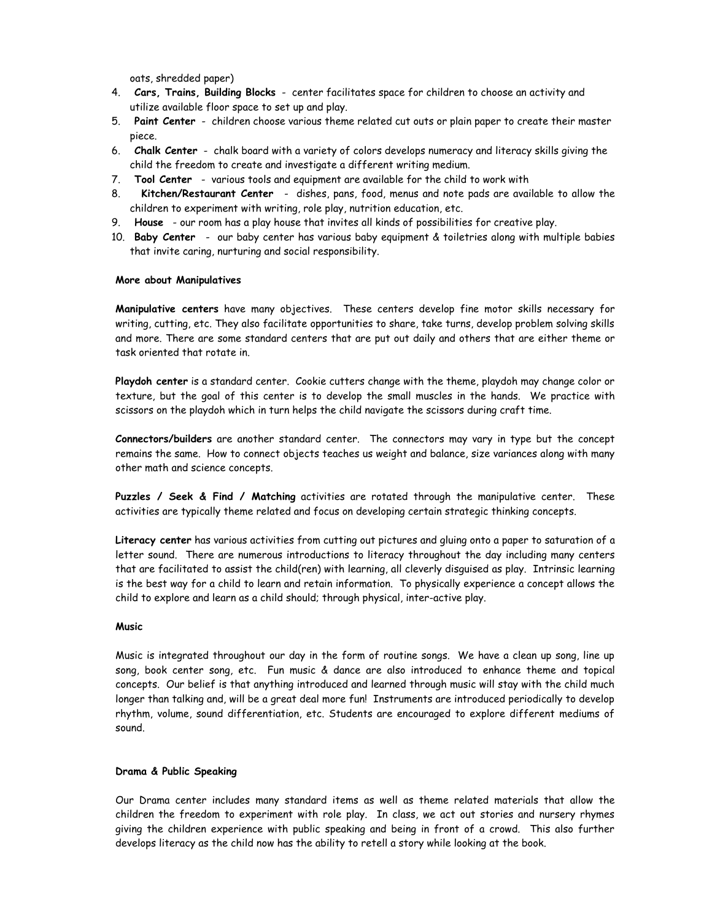oats, shredded paper)

- 4. **Cars, Trains, Building Blocks** center facilitates space for children to choose an activity and utilize available floor space to set up and play.
- 5. **Paint Center** children choose various theme related cut outs or plain paper to create their master piece.
- 6. **Chalk Center** chalk board with a variety of colors develops numeracy and literacy skills giving the child the freedom to create and investigate a different writing medium.
- 7. **Tool Center** various tools and equipment are available for the child to work with
- 8. **Kitchen/Restaurant Center** dishes, pans, food, menus and note pads are available to allow the children to experiment with writing, role play, nutrition education, etc.
- 9. **House** our room has a play house that invites all kinds of possibilities for creative play.
- 10. **Baby Center** our baby center has various baby equipment & toiletries along with multiple babies that invite caring, nurturing and social responsibility.

## **More about Manipulatives**

**Manipulative centers** have many objectives. These centers develop fine motor skills necessary for writing, cutting, etc. They also facilitate opportunities to share, take turns, develop problem solving skills and more. There are some standard centers that are put out daily and others that are either theme or task oriented that rotate in.

**Playdoh center** is a standard center. Cookie cutters change with the theme, playdoh may change color or texture, but the goal of this center is to develop the small muscles in the hands. We practice with scissors on the playdoh which in turn helps the child navigate the scissors during craft time.

**Connectors/builders** are another standard center. The connectors may vary in type but the concept remains the same. How to connect objects teaches us weight and balance, size variances along with many other math and science concepts.

**Puzzles / Seek & Find / Matching** activities are rotated through the manipulative center. These activities are typically theme related and focus on developing certain strategic thinking concepts.

**Literacy center** has various activities from cutting out pictures and gluing onto a paper to saturation of a letter sound. There are numerous introductions to literacy throughout the day including many centers that are facilitated to assist the child(ren) with learning, all cleverly disguised as play. Intrinsic learning is the best way for a child to learn and retain information. To physically experience a concept allows the child to explore and learn as a child should; through physical, inter-active play.

# **Music**

Music is integrated throughout our day in the form of routine songs. We have a clean up song, line up song, book center song, etc. Fun music & dance are also introduced to enhance theme and topical concepts. Our belief is that anything introduced and learned through music will stay with the child much longer than talking and, will be a great deal more fun! Instruments are introduced periodically to develop rhythm, volume, sound differentiation, etc. Students are encouraged to explore different mediums of sound.

## **Drama & Public Speaking**

Our Drama center includes many standard items as well as theme related materials that allow the children the freedom to experiment with role play. In class, we act out stories and nursery rhymes giving the children experience with public speaking and being in front of a crowd. This also further develops literacy as the child now has the ability to retell a story while looking at the book.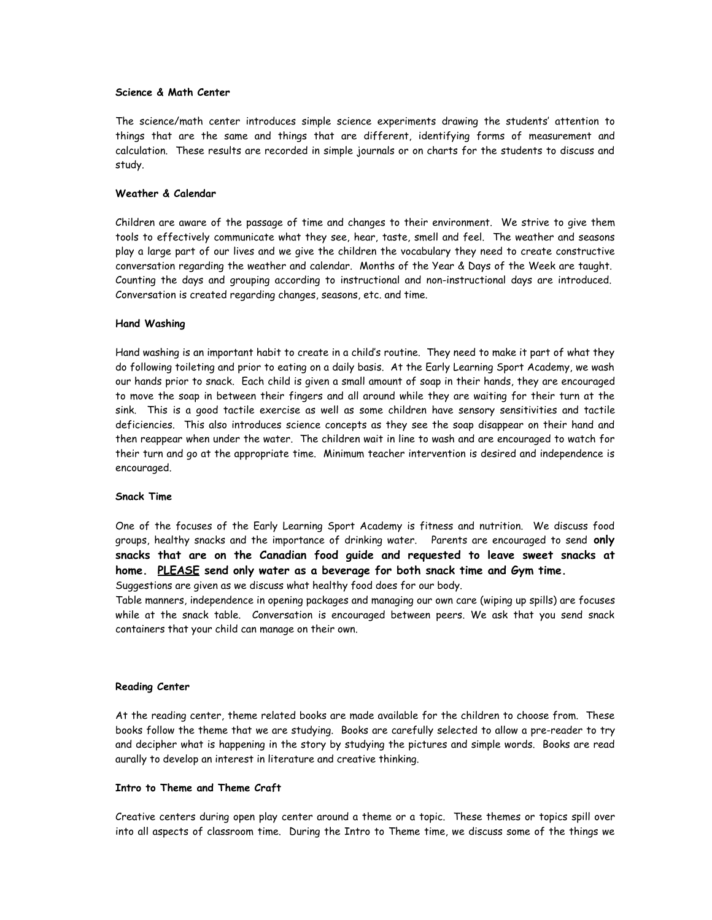#### **Science & Math Center**

The science/math center introduces simple science experiments drawing the students' attention to things that are the same and things that are different, identifying forms of measurement and calculation. These results are recorded in simple journals or on charts for the students to discuss and study.

#### **Weather & Calendar**

Children are aware of the passage of time and changes to their environment. We strive to give them tools to effectively communicate what they see, hear, taste, smell and feel. The weather and seasons play a large part of our lives and we give the children the vocabulary they need to create constructive conversation regarding the weather and calendar. Months of the Year & Days of the Week are taught. Counting the days and grouping according to instructional and non-instructional days are introduced. Conversation is created regarding changes, seasons, etc. and time.

### **Hand Washing**

Hand washing is an important habit to create in a child's routine. They need to make it part of what they do following toileting and prior to eating on a daily basis. At the Early Learning Sport Academy, we wash our hands prior to snack. Each child is given a small amount of soap in their hands, they are encouraged to move the soap in between their fingers and all around while they are waiting for their turn at the sink. This is a good tactile exercise as well as some children have sensory sensitivities and tactile deficiencies. This also introduces science concepts as they see the soap disappear on their hand and then reappear when under the water. The children wait in line to wash and are encouraged to watch for their turn and go at the appropriate time. Minimum teacher intervention is desired and independence is encouraged.

#### **Snack Time**

One of the focuses of the Early Learning Sport Academy is fitness and nutrition. We discuss food groups, healthy snacks and the importance of drinking water. Parents are encouraged to send **only snacks that are on the Canadian food guide and requested to leave sweet snacks at home. PLEASE send only water as a beverage for both snack time and Gym time.**

Suggestions are given as we discuss what healthy food does for our body.

Table manners, independence in opening packages and managing our own care (wiping up spills) are focuses while at the snack table. Conversation is encouraged between peers. We ask that you send snack containers that your child can manage on their own.

#### **Reading Center**

At the reading center, theme related books are made available for the children to choose from. These books follow the theme that we are studying. Books are carefully selected to allow a pre-reader to try and decipher what is happening in the story by studying the pictures and simple words. Books are read aurally to develop an interest in literature and creative thinking.

#### **Intro to Theme and Theme Craft**

Creative centers during open play center around a theme or a topic. These themes or topics spill over into all aspects of classroom time. During the Intro to Theme time, we discuss some of the things we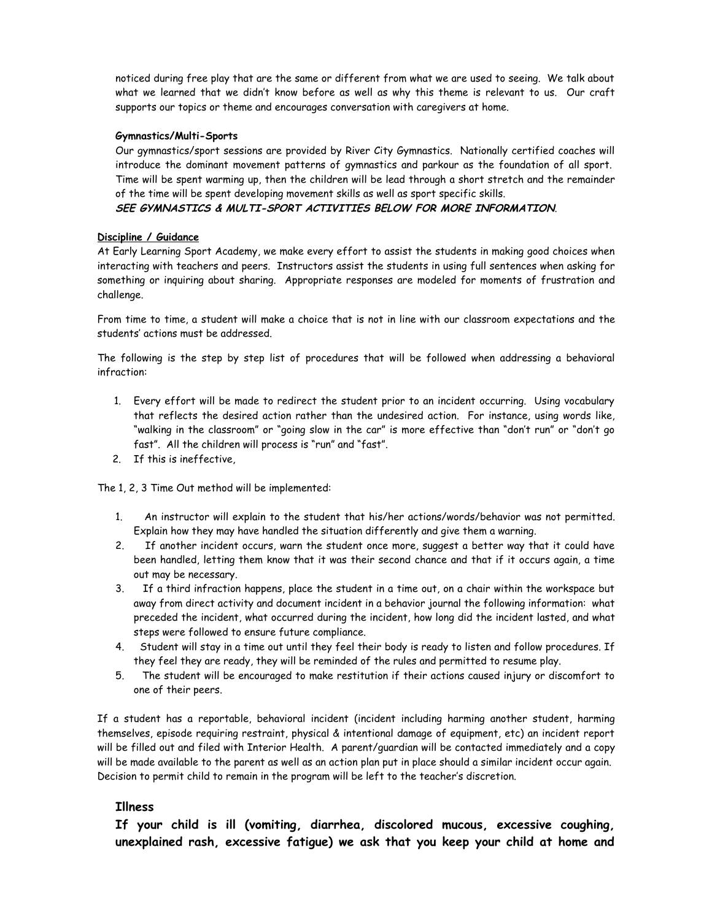noticed during free play that are the same or different from what we are used to seeing. We talk about what we learned that we didn't know before as well as why this theme is relevant to us. Our craft supports our topics or theme and encourages conversation with caregivers at home.

# **Gymnastics/Multi-Sports**

Our gymnastics/sport sessions are provided by River City Gymnastics. Nationally certified coaches will introduce the dominant movement patterns of gymnastics and parkour as the foundation of all sport. Time will be spent warming up, then the children will be lead through a short stretch and the remainder of the time will be spent developing movement skills as well as sport specific skills.

# **SEE GYMNASTICS & MULTI-SPORT ACTIVITIES BELOW FOR MORE INFORMATION**.

# **Discipline / Guidance**

At Early Learning Sport Academy, we make every effort to assist the students in making good choices when interacting with teachers and peers. Instructors assist the students in using full sentences when asking for something or inquiring about sharing. Appropriate responses are modeled for moments of frustration and challenge.

From time to time, a student will make a choice that is not in line with our classroom expectations and the students' actions must be addressed.

The following is the step by step list of procedures that will be followed when addressing a behavioral infraction:

- 1. Every effort will be made to redirect the student prior to an incident occurring. Using vocabulary that reflects the desired action rather than the undesired action. For instance, using words like, "walking in the classroom" or "going slow in the car" is more effective than "don't run" or "don't go fast". All the children will process is "run" and "fast".
- 2. If this is ineffective,

The 1, 2, 3 Time Out method will be implemented:

- 1. An instructor will explain to the student that his/her actions/words/behavior was not permitted. Explain how they may have handled the situation differently and give them a warning.
- 2. If another incident occurs, warn the student once more, suggest a better way that it could have been handled, letting them know that it was their second chance and that if it occurs again, a time out may be necessary.
- 3. If a third infraction happens, place the student in a time out, on a chair within the workspace but away from direct activity and document incident in a behavior journal the following information: what preceded the incident, what occurred during the incident, how long did the incident lasted, and what steps were followed to ensure future compliance.
- 4. Student will stay in a time out until they feel their body is ready to listen and follow procedures. If they feel they are ready, they will be reminded of the rules and permitted to resume play.
- 5. The student will be encouraged to make restitution if their actions caused injury or discomfort to one of their peers.

If a student has a reportable, behavioral incident (incident including harming another student, harming themselves, episode requiring restraint, physical & intentional damage of equipment, etc) an incident report will be filled out and filed with Interior Health. A parent/guardian will be contacted immediately and a copy will be made available to the parent as well as an action plan put in place should a similar incident occur again. Decision to permit child to remain in the program will be left to the teacher's discretion.

# **Illness**

**If your child is ill (vomiting, diarrhea, discolored mucous, excessive coughing, unexplained rash, excessive fatigue) we ask that you keep your child at home and**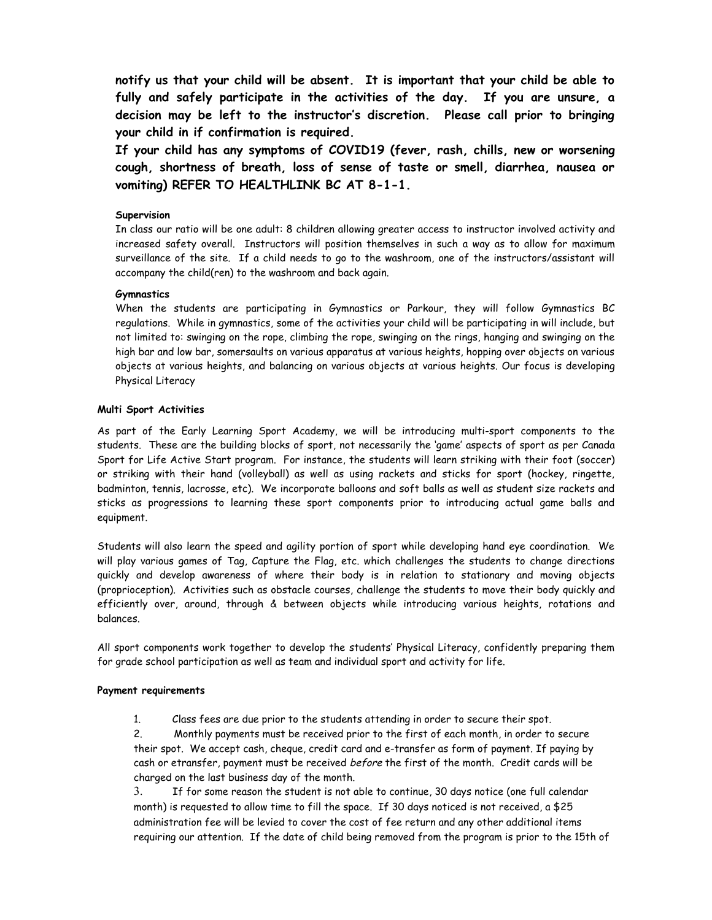**notify us that your child will be absent. It is important that your child be able to fully and safely participate in the activities of the day. If you are unsure, a decision may be left to the instructor's discretion. Please call prior to bringing your child in if confirmation is required.**

**If your child has any symptoms of COVID19 (fever, rash, chills, new or worsening cough, shortness of breath, loss of sense of taste or smell, diarrhea, nausea or vomiting) REFER TO HEALTHLINK BC AT 8-1-1.**

# **Supervision**

In class our ratio will be one adult: 8 children allowing greater access to instructor involved activity and increased safety overall. Instructors will position themselves in such a way as to allow for maximum surveillance of the site. If a child needs to go to the washroom, one of the instructors/assistant will accompany the child(ren) to the washroom and back again.

## **Gymnastics**

When the students are participating in Gymnastics or Parkour, they will follow Gymnastics BC regulations. While in gymnastics, some of the activities your child will be participating in will include, but not limited to: swinging on the rope, climbing the rope, swinging on the rings, hanging and swinging on the high bar and low bar, somersaults on various apparatus at various heights, hopping over objects on various objects at various heights, and balancing on various objects at various heights. Our focus is developing Physical Literacy

## **Multi Sport Activities**

As part of the Early Learning Sport Academy, we will be introducing multi-sport components to the students. These are the building blocks of sport, not necessarily the 'game' aspects of sport as per Canada Sport for Life Active Start program. For instance, the students will learn striking with their foot (soccer) or striking with their hand (volleyball) as well as using rackets and sticks for sport (hockey, ringette, badminton, tennis, lacrosse, etc). We incorporate balloons and soft balls as well as student size rackets and sticks as progressions to learning these sport components prior to introducing actual game balls and equipment.

Students will also learn the speed and agility portion of sport while developing hand eye coordination. We will play various games of Tag, Capture the Flag, etc. which challenges the students to change directions quickly and develop awareness of where their body is in relation to stationary and moving objects (proprioception). Activities such as obstacle courses, challenge the students to move their body quickly and efficiently over, around, through & between objects while introducing various heights, rotations and balances.

All sport components work together to develop the students' Physical Literacy, confidently preparing them for grade school participation as well as team and individual sport and activity for life.

## **Payment requirements**

1. Class fees are due prior to the students attending in order to secure their spot.

2. Monthly payments must be received prior to the first of each month, in order to secure their spot. We accept cash, cheque, credit card and e-transfer as form of payment. If paying by cash or etransfer, payment must be received before the first of the month. Credit cards will be charged on the last business day of the month.

3. If for some reason the student is not able to continue, 30 days notice (one full calendar month) is requested to allow time to fill the space. If 30 days noticed is not received, a \$25 administration fee will be levied to cover the cost of fee return and any other additional items requiring our attention. If the date of child being removed from the program is prior to the 15th of